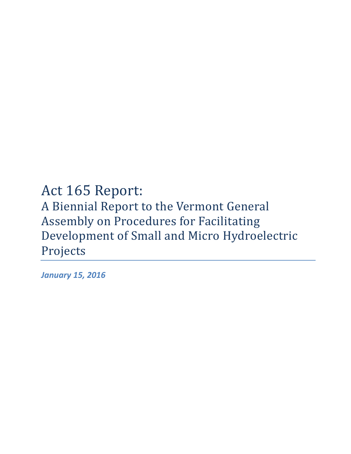# Act 165 Report: A Biennial Report to the Vermont General Assembly on Procedures for Facilitating Development of Small and Micro Hydroelectric Projects

*January 15, 2016*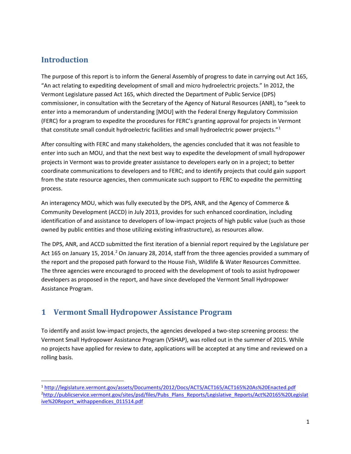## **Introduction**

The purpose of this report is to inform the General Assembly of progress to date in carrying out Act 165, "An act relating to expediting development of small and micro hydroelectric projects." In 2012, the Vermont Legislature passed Act 165, which directed the Department of Public Service (DPS) commissioner, in consultation with the Secretary of the Agency of Natural Resources (ANR), to "seek to enter into a memorandum of understanding [MOU] with the Federal Energy Regulatory Commission (FERC) for a program to expedite the procedures for FERC's granting approval for projects in Vermont that constitute small conduit hydroelectric facilities and small hydroelectric power projects."<sup>[1](#page-1-0)</sup>

After consulting with FERC and many stakeholders, the agencies concluded that it was not feasible to enter into such an MOU, and that the next best way to expedite the development of small hydropower projects in Vermont was to provide greater assistance to developers early on in a project; to better coordinate communications to developers and to FERC; and to identify projects that could gain support from the state resource agencies, then communicate such support to FERC to expedite the permitting process.

An interagency MOU, which was fully executed by the DPS, ANR, and the Agency of Commerce & Community Development (ACCD) in July 2013, provides for such enhanced coordination, including identification of and assistance to developers of low-impact projects of high public value (such as those owned by public entities and those utilizing existing infrastructure), as resources allow.

The DPS, ANR, and ACCD submitted the first iteration of a biennial report required by the Legislature per Act 165 on January 15, [2](#page-1-1)014.<sup>2</sup> On January 28, 2014, staff from the three agencies provided a summary of the report and the proposed path forward to the House Fish, Wildlife & Water Resources Committee. The three agencies were encouraged to proceed with the development of tools to assist hydropower developers as proposed in the report, and have since developed the Vermont Small Hydropower Assistance Program.

## **1 Vermont Small Hydropower Assistance Program**

To identify and assist low-impact projects, the agencies developed a two-step screening process: the Vermont Small Hydropower Assistance Program (VSHAP), was rolled out in the summer of 2015. While no projects have applied for review to date, applications will be accepted at any time and reviewed on a rolling basis.

<span id="page-1-1"></span><span id="page-1-0"></span> <sup>1</sup> <http://legislature.vermont.gov/assets/Documents/2012/Docs/ACTS/ACT165/ACT165%20As%20Enacted.pdf> 2 [http://publicservice.vermont.gov/sites/psd/files/Pubs\\_Plans\\_Reports/Legislative\\_Reports/Act%20165%20Legislat](http://publicservice.vermont.gov/sites/psd/files/Pubs_Plans_Reports/Legislative_Reports/Act%20165%20Legislative%20Report_withappendices_011514.pdf) [ive%20Report\\_withappendices\\_011514.pdf](http://publicservice.vermont.gov/sites/psd/files/Pubs_Plans_Reports/Legislative_Reports/Act%20165%20Legislative%20Report_withappendices_011514.pdf)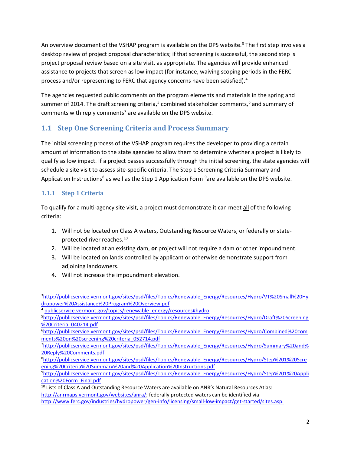An overview document of the VSHAP program is available on the DPS website.<sup>[3](#page-2-0)</sup> The first step involves a desktop review of project proposal characteristics; if that screening is successful, the second step is project proposal review based on a site visit, as appropriate. The agencies will provide enhanced assistance to projects that screen as low impact (for instance, waiving scoping periods in the FERC process and/or representing to FERC that agency concerns have been satisfied).<sup>[4](#page-2-1)</sup>

The agencies requested public comments on the program elements and materials in the spring and summer of 2014. The [draft screening criteria,](http://publicservice.vermont.gov/sites/psd/files/Topics/Renewable_Energy/Resources/Hydro/Draft%20Screening%20Criteria_040214.pdf)<sup>[5](#page-2-2)</sup> [combined stakeholder comments,](http://publicservice.vermont.gov/sites/psd/files/Topics/Renewable_Energy/Resources/Hydro/Combined%20comments%20on%20screening%20criteria_052714.pdf)<sup>[6](#page-2-3)</sup> and summary of [comments with reply comments](http://publicservice.vermont.gov/sites/psd/files/Topics/Renewable_Energy/Resources/Hydro/Summary%20and%20Reply%20Comments.pdf)<sup>[7](#page-2-4)</sup> are available on the DPS website.

## **1.1 Step One Screening Criteria and Process Summary**

The initial screening process of the VSHAP program requires the developer to providing a certain amount of information to the state agencies to allow them to determine whether a project is likely to qualify as low impact. If a project passes successfully through the initial screening, the state agencies will schedule a site visit to assess site-specific criteria. The Step 1 Screening Criteria Summary and Application Instructions<sup>[8](#page-2-5)</sup> as well as the Step 1 Application Form <sup>[9](#page-2-6)</sup>are available on the DPS website.

## **1.1.1 Step 1 Criteria**

To qualify for a multi-agency site visit, a project must demonstrate it can meet all of the following criteria:

- 1. Will not be located on Class A waters, Outstanding Resource Waters, or federally or state-protected river reaches.<sup>[10](#page-2-7)</sup>
- 2. Will be located at an existing dam, **or** project will not require a dam or other impoundment.
- 3. Will be located on lands controlled by applicant or otherwise demonstrate support from adjoining landowners.
- 4. Will not increase the impoundment elevation.

<span id="page-2-0"></span><sup>-&</sup>lt;br>3 [http://publicservice.vermont.gov/sites/psd/files/Topics/Renewable\\_Energy/Resources/Hydro/VT%20Small%20Hy](http://publicservice.vermont.gov/sites/psd/files/Topics/Renewable_Energy/Resources/Hydro/VT%20Small%20Hydropower%20Assistance%20Program%20Overview.pdf) [dropower%20Assistance%20Program%20Overview.pdf](http://publicservice.vermont.gov/sites/psd/files/Topics/Renewable_Energy/Resources/Hydro/VT%20Small%20Hydropower%20Assistance%20Program%20Overview.pdf)

<span id="page-2-1"></span><sup>&</sup>lt;sup>4</sup> [publicservice.vermont.gov/topics/renewable\\_energy/resources#hydro](http://publicservice.vermont.gov/topics/renewable_energy/resources#hydro)

<span id="page-2-2"></span><sup>5</sup> [http://publicservice.vermont.gov/sites/psd/files/Topics/Renewable\\_Energy/Resources/Hydro/Draft%20Screening](http://publicservice.vermont.gov/sites/psd/files/Topics/Renewable_Energy/Resources/Hydro/Draft%20Screening%20Criteria_040214.pdf) [%20Criteria\\_040214.pdf](http://publicservice.vermont.gov/sites/psd/files/Topics/Renewable_Energy/Resources/Hydro/Draft%20Screening%20Criteria_040214.pdf)

<span id="page-2-3"></span><sup>&</sup>lt;sup>6</sup>[http://publicservice.vermont.gov/sites/psd/files/Topics/Renewable\\_Energy/Resources/Hydro/Combined%20com](http://publicservice.vermont.gov/sites/psd/files/Topics/Renewable_Energy/Resources/Hydro/Combined%20comments%20on%20screening%20criteria_052714.pdf) [ments%20on%20screening%20criteria\\_052714.pdf](http://publicservice.vermont.gov/sites/psd/files/Topics/Renewable_Energy/Resources/Hydro/Combined%20comments%20on%20screening%20criteria_052714.pdf)

<span id="page-2-4"></span><sup>7</sup> [http://publicservice.vermont.gov/sites/psd/files/Topics/Renewable\\_Energy/Resources/Hydro/Summary%20and%](http://publicservice.vermont.gov/sites/psd/files/Topics/Renewable_Energy/Resources/Hydro/Summary%20and%20Reply%20Comments.pdf) [20Reply%20Comments.pdf](http://publicservice.vermont.gov/sites/psd/files/Topics/Renewable_Energy/Resources/Hydro/Summary%20and%20Reply%20Comments.pdf)

<span id="page-2-5"></span><sup>8</sup> [http://publicservice.vermont.gov/sites/psd/files/Topics/Renewable\\_Energy/Resources/Hydro/Step%201%20Scre](http://publicservice.vermont.gov/sites/psd/files/Topics/Renewable_Energy/Resources/Hydro/Step%201%20Screening%20Criteria%20Summary%20and%20Application%20Instructions.pdf) [ening%20Criteria%20Summary%20and%20Application%20Instructions.pdf](http://publicservice.vermont.gov/sites/psd/files/Topics/Renewable_Energy/Resources/Hydro/Step%201%20Screening%20Criteria%20Summary%20and%20Application%20Instructions.pdf)

<span id="page-2-6"></span><sup>9</sup> [http://publicservice.vermont.gov/sites/psd/files/Topics/Renewable\\_Energy/Resources/Hydro/Step%201%20Appli](http://publicservice.vermont.gov/sites/psd/files/Topics/Renewable_Energy/Resources/Hydro/Step%201%20Application%20Form_Final.pdf) [cation%20Form\\_Final.pdf](http://publicservice.vermont.gov/sites/psd/files/Topics/Renewable_Energy/Resources/Hydro/Step%201%20Application%20Form_Final.pdf)

<span id="page-2-7"></span><sup>&</sup>lt;sup>10</sup> Lists of Class A and Outstanding Resource Waters are available on ANR's Natural Resources Atlas: [http://anrmaps.vermont.gov/websites/anra/;](http://anrmaps.vermont.gov/websites/anra/) federally protected waters can be identified via [http://www.ferc.gov/industries/hydropower/gen-info/licensing/small-low-impact/get-started/sites.asp.](http://www.ferc.gov/industries/hydropower/gen-info/licensing/small-low-impact/get-started/sites.asp)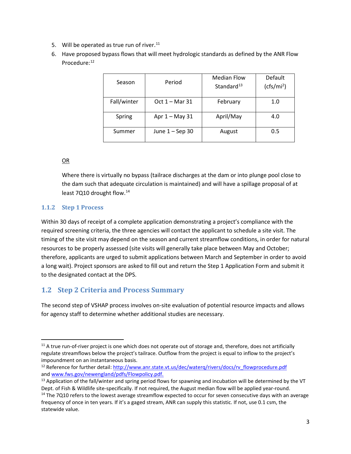- 5. Will be operated as true run of river. $11$
- 6. Have proposed bypass flows that will meet hydrologic standards as defined by the ANR Flow Procedure:<sup>[12](#page-3-1)</sup>

| Season      | Period           | <b>Median Flow</b><br>Standard <sup>13</sup> | Default<br>(cfs/mi <sup>2</sup> ) |  |
|-------------|------------------|----------------------------------------------|-----------------------------------|--|
| Fall/winter | $Oct 1 - Mar 31$ | February                                     | 1.0                               |  |
| Spring      | Apr $1 -$ May 31 | April/May                                    | 4.0                               |  |
| Summer      | June 1 - Sep 30  | August                                       | 0.5                               |  |

### OR

Where there is virtually no bypass (tailrace discharges at the dam or into plunge pool close to the dam such that adequate circulation is maintained) and will have a spillage proposal of at least 7Q10 drought flow.<sup>14</sup>

## **1.1.2 Step 1 Process**

Within 30 days of receipt of a complete application demonstrating a project's compliance with the required screening criteria, the three agencies will contact the applicant to schedule a site visit. The timing of the site visit may depend on the season and current streamflow conditions, in order for natural resources to be properly assessed (site visits will generally take place between May and October; therefore, applicants are urged to submit applications between March and September in order to avoid a long wait). Project sponsors are asked to fill out and return the [Step 1 Application Form](http://publicservice.vermont.gov/sites/psd/files/Topics/Renewable_Energy/Resources/Hydro/Step%201%20Application%20Form_Final.pdf) and submit it to the designated contact at the DPS.

## **1.2 Step 2 Criteria and Process Summary**

The second step of VSHAP process involves on-site evaluation of potential resource impacts and allows for agency staff to determine whether additional studies are necessary.

<span id="page-3-0"></span> $11$  A true run-of-river project is one which does not operate out of storage and, therefore, does not artificially regulate streamflows below the project's tailrace. Outflow from the project is equal to inflow to the project's impoundment on an instantaneous basis.

<span id="page-3-1"></span><sup>&</sup>lt;sup>12</sup> Reference for further detail[: http://www.anr.state.vt.us/dec/waterq/rivers/docs/rv\\_flowprocedure.pdf](http://www.anr.state.vt.us/dec/waterq/rivers/docs/rv_flowprocedure.pdf) an[d www.fws.gov/newengland/pdfs/Flowpolicy.pdf.](http://www.fws.gov/newengland/pdfs/Flowpolicy.pdf)

<span id="page-3-2"></span><sup>&</sup>lt;sup>13</sup> Application of the fall/winter and spring period flows for spawning and incubation will be determined by the VT Dept. of Fish & Wildlife site-specifically. If not required, the August median flow will be applied year-round.

<span id="page-3-3"></span> $14$  The 7Q10 refers to the lowest average streamflow expected to occur for seven consecutive days with an average frequency of once in ten years. If it's a gaged stream, ANR can supply this statistic. If not, use 0.1 csm, the statewide value.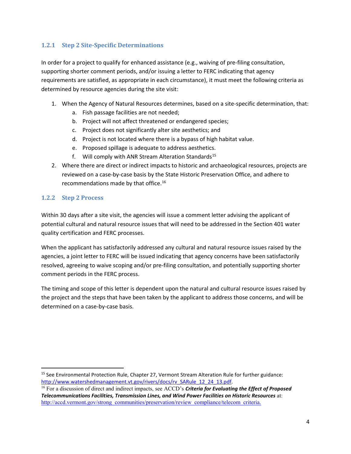#### **1.2.1 Step 2 Site-Specific Determinations**

In order for a project to qualify for enhanced assistance (e.g., waiving of pre-filing consultation, supporting shorter comment periods, and/or issuing a letter to FERC indicating that agency requirements are satisfied, as appropriate in each circumstance), it must meet the following criteria as determined by resource agencies during the site visit:

- 1. When the Agency of Natural Resources determines, based on a site-specific determination, that:
	- a. Fish passage facilities are not needed;
	- b. Project will not affect threatened or endangered species;
	- c. Project does not significantly alter site aesthetics; and
	- d. Project is not located where there is a bypass of high habitat value.
	- e. Proposed spillage is adequate to address aesthetics.
	- f. Will comply with ANR Stream Alteration Standards<sup>[15](#page-4-0)</sup>
- 2. Where there are direct or indirect impacts to historic and archaeological resources, projects are reviewed on a case-by-case basis by the State Historic Preservation Office, and adhere to recommendations made by that office.[16](#page-4-1)

#### **1.2.2 Step 2 Process**

Within 30 days after a site visit, the agencies will issue a comment letter advising the applicant of potential cultural and natural resource issues that will need to be addressed in the Section 401 water quality certification and FERC processes.

When the applicant has satisfactorily addressed any cultural and natural resource issues raised by the agencies, a joint letter to FERC will be issued indicating that agency concerns have been satisfactorily resolved, agreeing to waive scoping and/or pre-filing consultation, and potentially supporting shorter comment periods in the FERC process.

The timing and scope of this letter is dependent upon the natural and cultural resource issues raised by the project and the steps that have been taken by the applicant to address those concerns, and will be determined on a case-by-case basis.

<span id="page-4-0"></span><sup>&</sup>lt;sup>15</sup> See Environmental Protection Rule, Chapter 27, Vermont Stream Alteration Rule for further guidance: [http://www.watershedmanagement.vt.gov/rivers/docs/rv\\_SARule\\_12\\_24\\_13.pdf.](http://www.watershedmanagement.vt.gov/rivers/docs/rv_SARule_12_24_13.pdf)

<span id="page-4-1"></span><sup>16</sup> For a discussion of direct and indirect impacts, see ACCD's *Criteria for Evaluating the Effect of Proposed Telecommunications Facilities, Transmission Lines, and Wind Power Facilities on Historic Resources* at: [http://accd.vermont.gov/strong\\_communities/preservation/review\\_compliance/telecom\\_criteria.](http://accd.vermont.gov/strong_communities/preservation/review_compliance/telecom_criteria)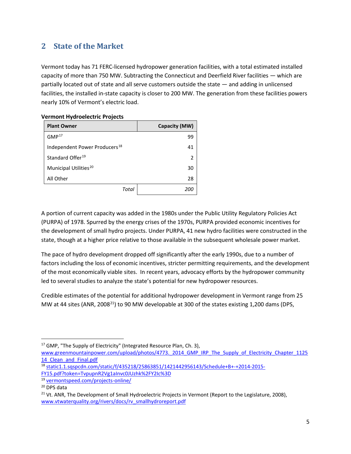## **2 State of the Market**

Vermont today has 71 FERC-licensed hydropower generation facilities, with a total estimated installed capacity of more than 750 MW. Subtracting the Connecticut and Deerfield River facilities — which are partially located out of state and all serve customers outside the state — and adding in unlicensed facilities, the installed in-state capacity is closer to 200 MW. The generation from these facilities powers nearly 10% of Vermont's electric load.

| <b>Plant Owner</b>                        | Capacity (MW) |
|-------------------------------------------|---------------|
| GMP <sup>17</sup>                         | 99            |
| Independent Power Producers <sup>18</sup> | 41            |
| Standard Offer <sup>19</sup>              | 2             |
| Municipal Utilities <sup>20</sup>         | 30            |
| All Other                                 | 28            |
| Total                                     | <i>200</i>    |

#### **Vermont Hydroelectric Projects**

A portion of current capacity was added in the 1980s under the Public Utility Regulatory Policies Act (PURPA) of 1978. Spurred by the energy crises of the 1970s, PURPA provided economic incentives for the development of small hydro projects. Under PURPA, 41 new hydro facilities were constructed in the state, though at a higher price relative to those available in the subsequent wholesale power market.

The pace of hydro development dropped off significantly after the early 1990s, due to a number of factors including the loss of economic incentives, stricter permitting requirements, and the development of the most economically viable sites. In recent years, advocacy efforts by the hydropower community led to several studies to analyze the state's potential for new hydropower resources.

Credible estimates of the potential for additional hydropower development in Vermont range from 25 MW at 44 sites (ANR, 2008<sup>[21](#page-5-4)</sup>) to 90 MW developable at 300 of the states existing 1,200 dams (DPS,

<span id="page-5-0"></span><sup>17</sup> GMP, "The Supply of Electricity" (Integrated Resource Plan, Ch. 3),

www.greenmountainpower.com/upload/photos/4773. 2014 GMP\_IRP\_The\_Supply\_of\_Electricity\_Chapter\_1125 14 Clean and Final.pdf

<span id="page-5-1"></span><sup>18</sup> [static1.1.sqspcdn.com/static/f/435218/25863851/1421442956143/Schedule+B+-+2014-2015-](http://static1.1.sqspcdn.com/static/f/435218/25863851/1421442956143/Schedule+B+-+2014-2015-FY15.pdf?token=TvpupnR2Vg1aInvc0JUzhk%2FY2Ic%3D) [FY15.pdf?token=TvpupnR2Vg1aInvc0JUzhk%2FY2Ic%3D](http://static1.1.sqspcdn.com/static/f/435218/25863851/1421442956143/Schedule+B+-+2014-2015-FY15.pdf?token=TvpupnR2Vg1aInvc0JUzhk%2FY2Ic%3D)

<span id="page-5-2"></span><sup>19</sup> [vermontspeed.com/projects-online/](http://vermontspeed.com/projects-online/)

<span id="page-5-3"></span><sup>20</sup> DPS data

<span id="page-5-4"></span><sup>&</sup>lt;sup>21</sup> Vt. ANR, The Development of Small Hydroelectric Projects in Vermont (Report to the Legislature, 2008), [www.vtwaterquality.org/rivers/docs/rv\\_smallhydroreport.pdf](http://www.vtwaterquality.org/rivers/docs/rv_smallhydroreport.pdf)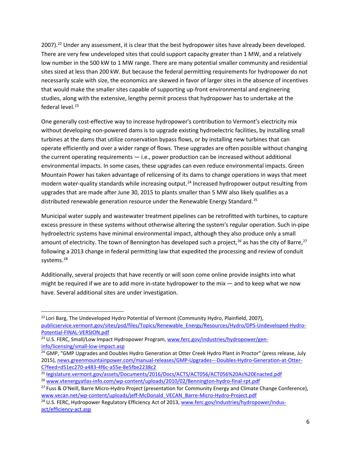2007).<sup>[22](#page-6-0)</sup> Under any assessment, it is clear that the best hydropower sites have already been developed. There are very few undeveloped sites that could support capacity greater than 1 MW, and a relatively low number in the 500 kW to 1 MW range. There are many potential smaller community and residential sites sized at less than 200 kW. But because the federal permitting requirements for hydropower do not necessarily scale with size, the economics are skewed in favor of larger sites in the absence of incentives that would make the smaller sites capable of supporting up-front environmental and engineering studies, along with the extensive, lengthy permit process that hydropower has to undertake at the federal level. $23$ 

One generally cost-effective way to increase hydropower's contribution to Vermont's electricity mix without developing non-powered dams is to upgrade existing hydroelectric facilities, by installing small turbines at the dams that utilize conservation bypass flows, or by installing new turbines that can operate efficiently and over a wider range of flows. These upgrades are often possible without changing the current operating requirements — i.e., power production can be increased without additional environmental impacts. In some cases, these upgrades can even reduce environmental impacts. Green Mountain Power has taken advantage of relicensing of its dams to change operations in ways that meet modern water-quality standards while increasing output.<sup>[24](#page-6-2)</sup> Increased hydropower output resulting from upgrades that are made after June 30, 2015 to plants smaller than 5 MW also likely qualifies as a distributed renewable generation resource under the Renewable Energy Standard.<sup>[25](#page-6-3)</sup>

Municipal water supply and wastewater treatment pipelines can be retrofitted with turbines, to capture excess pressure in these systems without otherwise altering the system's regular operation. Such in-pipe hydroelectric systems have minimal environmental impact, although they also produce only a small amount of electricity. The town of Bennington has developed such a project,<sup>[26](#page-6-4)</sup> as has the city of Barre,<sup>[27](#page-6-5)</sup> following a 2013 change in federal permitting law that expedited the processing and review of conduit systems.<sup>[28](#page-6-6)</sup>

Additionally, several projects that have recently or will soon come online provide insights into what might be required if we are to add more in-state hydropower to the mix  $-$  and to keep what we now have. Several additional sites are under investigation.

<span id="page-6-0"></span><sup>&</sup>lt;sup>22</sup> Lori Barg, The Undeveloped Hydro Potential of Vermont (Community Hydro, Plainfield, 2007), [publicservice.vermont.gov/sites/psd/files/Topics/Renewable\\_Energy/Resources/Hydro/DPS-Undeveloped-Hydro-](http://publicservice.vermont.gov/sites/psd/files/Topics/Renewable_Energy/Resources/Hydro/DPS-Undeveloped-Hydro-Potential-FINAL-VERSION.pdf)[Potential-FINAL-VERSION.pdf](http://publicservice.vermont.gov/sites/psd/files/Topics/Renewable_Energy/Resources/Hydro/DPS-Undeveloped-Hydro-Potential-FINAL-VERSION.pdf)

<span id="page-6-1"></span><sup>&</sup>lt;sup>23</sup> U.S. FERC, Small/Low Impact Hydropower Program, [www.ferc.gov/industries/hydropower/gen](http://www.ferc.gov/industries/hydropower/gen-info/licensing/small-low-impact.asp)[info/licensing/small-low-impact.asp](http://www.ferc.gov/industries/hydropower/gen-info/licensing/small-low-impact.asp)

<span id="page-6-2"></span><sup>&</sup>lt;sup>24</sup> GMP, "GMP Upgrades and Doubles Hydro Generation at Otter Creek Hydro Plant in Proctor" (press release, July 2015), [news.greenmountainpower.com/manual-releases/GMP-Upgrades---Doubles-Hydro-Generation-at-Otter-](http://news.greenmountainpower.com/manual-releases/GMP-Upgrades---Doubles-Hydro-Generation-at-Otter-C?feed=d51ec270-a483-4f6c-a55e-8e5fbe2238c2)[C?feed=d51ec270-a483-4f6c-a55e-8e5fbe2238c2](http://news.greenmountainpower.com/manual-releases/GMP-Upgrades---Doubles-Hydro-Generation-at-Otter-C?feed=d51ec270-a483-4f6c-a55e-8e5fbe2238c2)

<span id="page-6-3"></span><sup>25</sup> [legislature.vermont.gov/assets/Documents/2016/Docs/ACTS/ACT056/ACT056%20As%20Enacted.pdf](http://legislature.vermont.gov/assets/Documents/2016/Docs/ACTS/ACT056/ACT056%20As%20Enacted.pdf)

<span id="page-6-4"></span><sup>26</sup> [www.vtenergyatlas-info.com/wp-content/uploads/2010/02/Bennington-hydro-final-rpt.pdf](http://www.vtenergyatlas-info.com/wp-content/uploads/2010/02/Bennington-hydro-final-rpt.pdf)

<span id="page-6-5"></span><sup>&</sup>lt;sup>27</sup> Fuss & O'Neill, Barre Micro-Hydro Project (presentation for Community Energy and Climate Change Conference), [www.vecan.net/wp-content/uploads/jeff-McDonald\\_VECAN\\_Barre-Micro-Hydro-Project.pdf](http://www.vecan.net/wp-content/uploads/jeff-McDonald_VECAN_Barre-Micro-Hydro-Project.pdf)

<span id="page-6-6"></span><sup>&</sup>lt;sup>28</sup> U.S. FERC, Hydropower Regulatory Efficiency Act of 2013, [www.ferc.gov/industries/hydropower/indus](http://www.ferc.gov/industries/hydropower/indus-act/efficiency-act.asp)[act/efficiency-act.asp](http://www.ferc.gov/industries/hydropower/indus-act/efficiency-act.asp)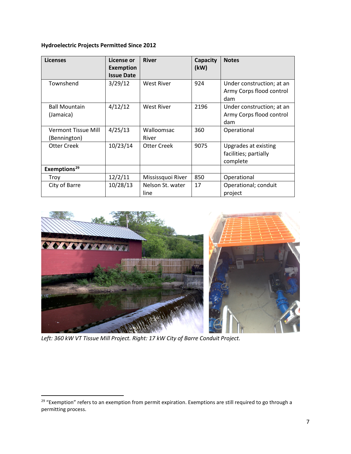#### **Hydroelectric Projects Permitted Since 2012**

| <b>Licenses</b>                     | License or<br><b>Exemption</b><br><b>Issue Date</b> | <b>River</b>             | Capacity<br>(kW) | <b>Notes</b>                                                 |
|-------------------------------------|-----------------------------------------------------|--------------------------|------------------|--------------------------------------------------------------|
| Townshend                           | 3/29/12                                             | <b>West River</b>        | 924              | Under construction; at an<br>Army Corps flood control<br>dam |
| <b>Ball Mountain</b><br>(Jamaica)   | 4/12/12                                             | West River               | 2196             | Under construction; at an<br>Army Corps flood control<br>dam |
| Vermont Tissue Mill<br>(Bennington) | 4/25/13                                             | Walloomsac<br>River      | 360              | Operational                                                  |
| <b>Otter Creek</b>                  | 10/23/14                                            | Otter Creek              | 9075             | Upgrades at existing<br>facilities; partially<br>complete    |
| Exemptions <sup>29</sup>            |                                                     |                          |                  |                                                              |
| Troy                                | 12/2/11                                             | Mississquoi River        | 850              | Operational                                                  |
| City of Barre                       | 10/28/13                                            | Nelson St. water<br>line | 17               | Operational; conduit<br>project                              |



*Left: 360 kW VT Tissue Mill Project. Right: 17 kW City of Barre Conduit Project.*

<span id="page-7-0"></span><sup>&</sup>lt;sup>29</sup> "Exemption" refers to an exemption from permit expiration. Exemptions are still required to go through a permitting process.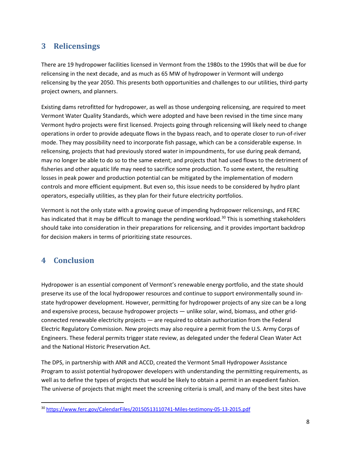# **3 Relicensings**

There are 19 hydropower facilities licensed in Vermont from the 1980s to the 1990s that will be due for relicensing in the next decade, and as much as 65 MW of hydropower in Vermont will undergo relicensing by the year 2050. This presents both opportunities and challenges to our utilities, third-party project owners, and planners.

Existing dams retrofitted for hydropower, as well as those undergoing relicensing, are required to meet Vermont Water Quality Standards, which were adopted and have been revised in the time since many Vermont hydro projects were first licensed. Projects going through relicensing will likely need to change operations in order to provide adequate flows in the bypass reach, and to operate closer to run-of-river mode. They may possibility need to incorporate fish passage, which can be a considerable expense. In relicensing, projects that had previously stored water in impoundments, for use during peak demand, may no longer be able to do so to the same extent; and projects that had used flows to the detriment of fisheries and other aquatic life may need to sacrifice some production. To some extent, the resulting losses in peak power and production potential can be mitigated by the implementation of modern controls and more efficient equipment. But even so, this issue needs to be considered by hydro plant operators, especially utilities, as they plan for their future electricity portfolios.

Vermont is not the only state with a growing queue of impending hydropower relicensings, and FERC has indicated that it may be difficult to manage the pending workload.<sup>[30](#page-8-0)</sup> This is something stakeholders should take into consideration in their preparations for relicensing, and it provides important backdrop for decision makers in terms of prioritizing state resources.

## **4 Conclusion**

Hydropower is an essential component of Vermont's renewable energy portfolio, and the state should preserve its use of the local hydropower resources and continue to support environmentally sound instate hydropower development. However, permitting for hydropower projects of any size can be a long and expensive process, because hydropower projects — unlike solar, wind, biomass, and other gridconnected renewable electricity projects — are required to obtain authorization from the Federal Electric Regulatory Commission. New projects may also require a permit from the U.S. Army Corps of Engineers. These federal permits trigger state review, as delegated under the federal Clean Water Act and the National Historic Preservation Act.

The DPS, in partnership with ANR and ACCD, created the Vermont Small Hydropower Assistance Program to assist potential hydropower developers with understanding the permitting requirements, as well as to define the types of projects that would be likely to obtain a permit in an expedient fashion. The universe of projects that might meet the screening criteria is small, and many of the best sites have

<span id="page-8-0"></span> <sup>30</sup> <https://www.ferc.gov/CalendarFiles/20150513110741-Miles-testimony-05-13-2015.pdf>